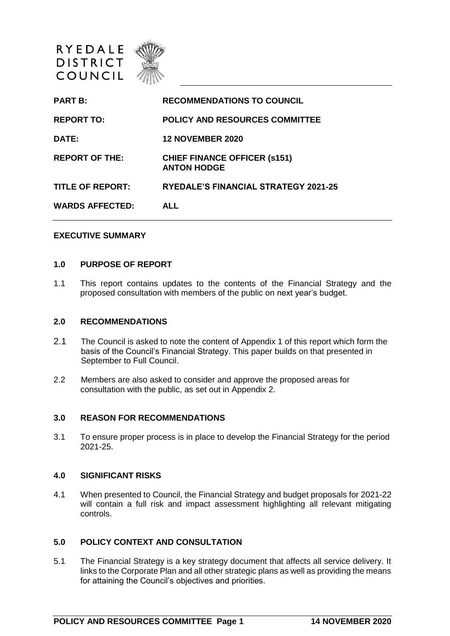

| <b>PART B:</b>          | <b>RECOMMENDATIONS TO COUNCIL</b>                         |
|-------------------------|-----------------------------------------------------------|
| <b>REPORT TO:</b>       | POLICY AND RESOURCES COMMITTEE                            |
| <b>DATE:</b>            | <b>12 NOVEMBER 2020</b>                                   |
| <b>REPORT OF THE:</b>   | <b>CHIEF FINANCE OFFICER (s151)</b><br><b>ANTON HODGE</b> |
| <b>TITLE OF REPORT:</b> | <b>RYEDALE'S FINANCIAL STRATEGY 2021-25</b>               |
| WARDS AFFECTED:         | <b>ALL</b>                                                |
|                         |                                                           |

#### **EXECUTIVE SUMMARY**

#### **1.0 PURPOSE OF REPORT**

1.1 This report contains updates to the contents of the Financial Strategy and the proposed consultation with members of the public on next year's budget.

#### **2.0 RECOMMENDATIONS**

- 2.1 The Council is asked to note the content of Appendix 1 of this report which form the basis of the Council's Financial Strategy. This paper builds on that presented in September to Full Council.
- 2.2 Members are also asked to consider and approve the proposed areas for consultation with the public, as set out in Appendix 2.

#### **3.0 REASON FOR RECOMMENDATIONS**

3.1 To ensure proper process is in place to develop the Financial Strategy for the period 2021-25.

#### **4.0 SIGNIFICANT RISKS**

4.1 When presented to Council, the Financial Strategy and budget proposals for 2021-22 will contain a full risk and impact assessment highlighting all relevant mitigating controls.

#### **5.0 POLICY CONTEXT AND CONSULTATION**

5.1 The Financial Strategy is a key strategy document that affects all service delivery. It links to the Corporate Plan and all other strategic plans as well as providing the means for attaining the Council's objectives and priorities.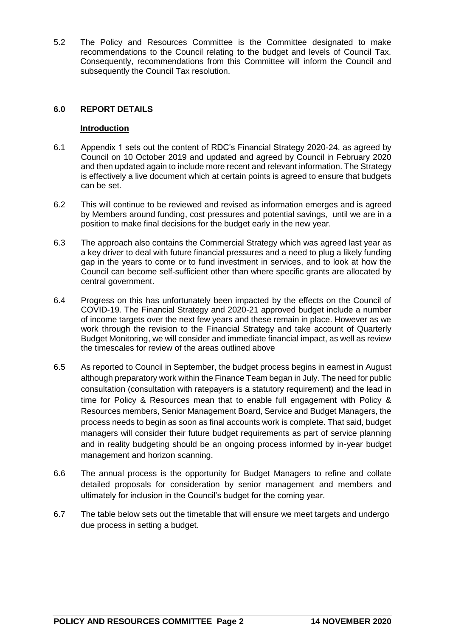5.2 The Policy and Resources Committee is the Committee designated to make recommendations to the Council relating to the budget and levels of Council Tax. Consequently, recommendations from this Committee will inform the Council and subsequently the Council Tax resolution.

#### **6.0 REPORT DETAILS**

#### **Introduction**

- 6.1 Appendix 1 sets out the content of RDC's Financial Strategy 2020-24, as agreed by Council on 10 October 2019 and updated and agreed by Council in February 2020 and then updated again to include more recent and relevant information. The Strategy is effectively a live document which at certain points is agreed to ensure that budgets can be set.
- 6.2 This will continue to be reviewed and revised as information emerges and is agreed by Members around funding, cost pressures and potential savings, until we are in a position to make final decisions for the budget early in the new year.
- 6.3 The approach also contains the Commercial Strategy which was agreed last year as a key driver to deal with future financial pressures and a need to plug a likely funding gap in the years to come or to fund investment in services, and to look at how the Council can become self-sufficient other than where specific grants are allocated by central government.
- 6.4 Progress on this has unfortunately been impacted by the effects on the Council of COVID-19. The Financial Strategy and 2020-21 approved budget include a number of income targets over the next few years and these remain in place. However as we work through the revision to the Financial Strategy and take account of Quarterly Budget Monitoring, we will consider and immediate financial impact, as well as review the timescales for review of the areas outlined above
- 6.5 As reported to Council in September, the budget process begins in earnest in August although preparatory work within the Finance Team began in July. The need for public consultation (consultation with ratepayers is a statutory requirement) and the lead in time for Policy & Resources mean that to enable full engagement with Policy & Resources members, Senior Management Board, Service and Budget Managers, the process needs to begin as soon as final accounts work is complete. That said, budget managers will consider their future budget requirements as part of service planning and in reality budgeting should be an ongoing process informed by in-year budget management and horizon scanning.
- 6.6 The annual process is the opportunity for Budget Managers to refine and collate detailed proposals for consideration by senior management and members and ultimately for inclusion in the Council's budget for the coming year.
- 6.7 The table below sets out the timetable that will ensure we meet targets and undergo due process in setting a budget.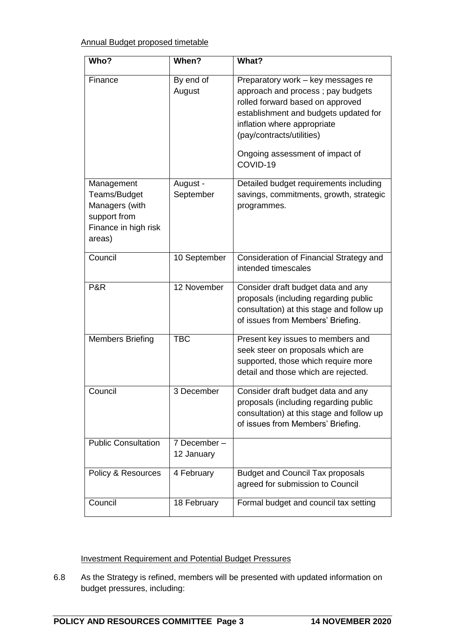# Annual Budget proposed timetable

| Who?                                                                                           | When?                      | What?                                                                                                                                                                                                                                                           |
|------------------------------------------------------------------------------------------------|----------------------------|-----------------------------------------------------------------------------------------------------------------------------------------------------------------------------------------------------------------------------------------------------------------|
| Finance                                                                                        | By end of<br>August        | Preparatory work - key messages re<br>approach and process; pay budgets<br>rolled forward based on approved<br>establishment and budgets updated for<br>inflation where appropriate<br>(pay/contracts/utilities)<br>Ongoing assessment of impact of<br>COVID-19 |
| Management<br>Teams/Budget<br>Managers (with<br>support from<br>Finance in high risk<br>areas) | August -<br>September      | Detailed budget requirements including<br>savings, commitments, growth, strategic<br>programmes.                                                                                                                                                                |
| Council                                                                                        | 10 September               | Consideration of Financial Strategy and<br>intended timescales                                                                                                                                                                                                  |
| P&R                                                                                            | 12 November                | Consider draft budget data and any<br>proposals (including regarding public<br>consultation) at this stage and follow up<br>of issues from Members' Briefing.                                                                                                   |
| <b>Members Briefing</b>                                                                        | <b>TBC</b>                 | Present key issues to members and<br>seek steer on proposals which are<br>supported, those which require more<br>detail and those which are rejected.                                                                                                           |
| Council                                                                                        | 3 December                 | Consider draft budget data and any<br>proposals (including regarding public<br>consultation) at this stage and follow up<br>of issues from Members' Briefing.                                                                                                   |
| <b>Public Consultation</b>                                                                     | 7 December -<br>12 January |                                                                                                                                                                                                                                                                 |
| Policy & Resources                                                                             | 4 February                 | <b>Budget and Council Tax proposals</b><br>agreed for submission to Council                                                                                                                                                                                     |
| Council                                                                                        | 18 February                | Formal budget and council tax setting                                                                                                                                                                                                                           |

#### Investment Requirement and Potential Budget Pressures

6.8 As the Strategy is refined, members will be presented with updated information on budget pressures, including: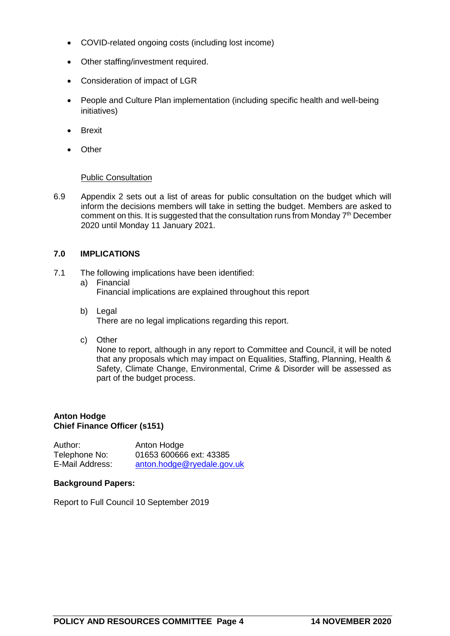- COVID-related ongoing costs (including lost income)
- Other staffing/investment required.
- Consideration of impact of LGR
- People and Culture Plan implementation (including specific health and well-being initiatives)
- **•** Brexit
- Other

#### Public Consultation

6.9 Appendix 2 sets out a list of areas for public consultation on the budget which will inform the decisions members will take in setting the budget. Members are asked to comment on this. It is suggested that the consultation runs from Monday 7<sup>th</sup> December 2020 until Monday 11 January 2021.

#### **7.0 IMPLICATIONS**

- 7.1 The following implications have been identified:
	- a) Financial Financial implications are explained throughout this report
	- b) Legal There are no legal implications regarding this report.
	- c) Other

None to report, although in any report to Committee and Council, it will be noted that any proposals which may impact on Equalities, Staffing, Planning, Health & Safety, Climate Change, Environmental, Crime & Disorder will be assessed as part of the budget process.

#### **Anton Hodge Chief Finance Officer (s151)**

| Author:         | Anton Hodge                |
|-----------------|----------------------------|
| Telephone No:   | 01653 600666 ext: 43385    |
| E-Mail Address: | anton.hodge@ryedale.gov.uk |

#### **Background Papers:**

Report to Full Council 10 September 2019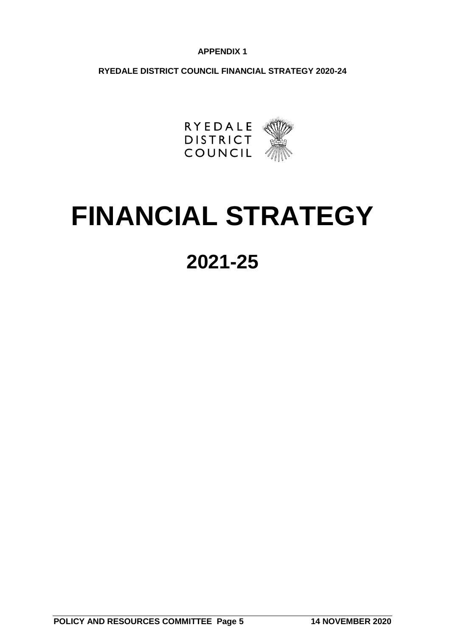#### **APPENDIX 1**

**RYEDALE DISTRICT COUNCIL FINANCIAL STRATEGY 2020-24**



# **FINANCIAL STRATEGY**

# **2021-25**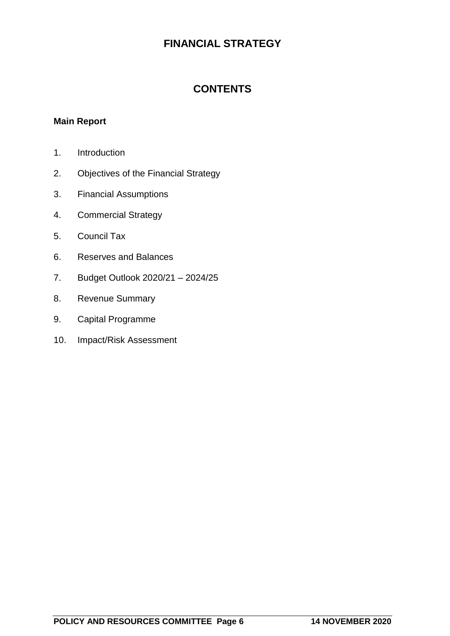# **FINANCIAL STRATEGY**

# **CONTENTS**

### **Main Report**

- 1. Introduction
- 2. Objectives of the Financial Strategy
- 3. Financial Assumptions
- 4. Commercial Strategy
- 5. Council Tax
- 6. Reserves and Balances
- 7. Budget Outlook 2020/21 2024/25
- 8. Revenue Summary
- 9. Capital Programme
- 10. Impact/Risk Assessment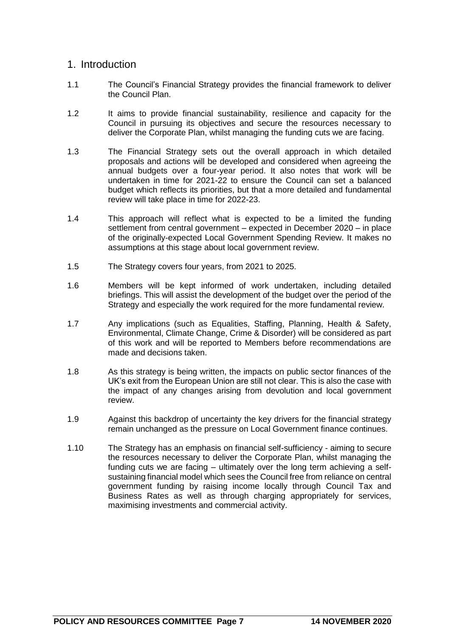# 1. Introduction

- 1.1 The Council's Financial Strategy provides the financial framework to deliver the Council Plan.
- 1.2 It aims to provide financial sustainability, resilience and capacity for the Council in pursuing its objectives and secure the resources necessary to deliver the Corporate Plan, whilst managing the funding cuts we are facing.
- 1.3 The Financial Strategy sets out the overall approach in which detailed proposals and actions will be developed and considered when agreeing the annual budgets over a four-year period. It also notes that work will be undertaken in time for 2021-22 to ensure the Council can set a balanced budget which reflects its priorities, but that a more detailed and fundamental review will take place in time for 2022-23.
- 1.4 This approach will reflect what is expected to be a limited the funding settlement from central government – expected in December 2020 – in place of the originally-expected Local Government Spending Review. It makes no assumptions at this stage about local government review.
- 1.5 The Strategy covers four years, from 2021 to 2025.
- 1.6 Members will be kept informed of work undertaken, including detailed briefings. This will assist the development of the budget over the period of the Strategy and especially the work required for the more fundamental review.
- 1.7 Any implications (such as Equalities, Staffing, Planning, Health & Safety, Environmental, Climate Change, Crime & Disorder) will be considered as part of this work and will be reported to Members before recommendations are made and decisions taken.
- 1.8 As this strategy is being written, the impacts on public sector finances of the UK's exit from the European Union are still not clear. This is also the case with the impact of any changes arising from devolution and local government review.
- 1.9 Against this backdrop of uncertainty the key drivers for the financial strategy remain unchanged as the pressure on Local Government finance continues.
- 1.10 The Strategy has an emphasis on financial self-sufficiency aiming to secure the resources necessary to deliver the Corporate Plan, whilst managing the funding cuts we are facing – ultimately over the long term achieving a selfsustaining financial model which sees the Council free from reliance on central government funding by raising income locally through Council Tax and Business Rates as well as through charging appropriately for services, maximising investments and commercial activity.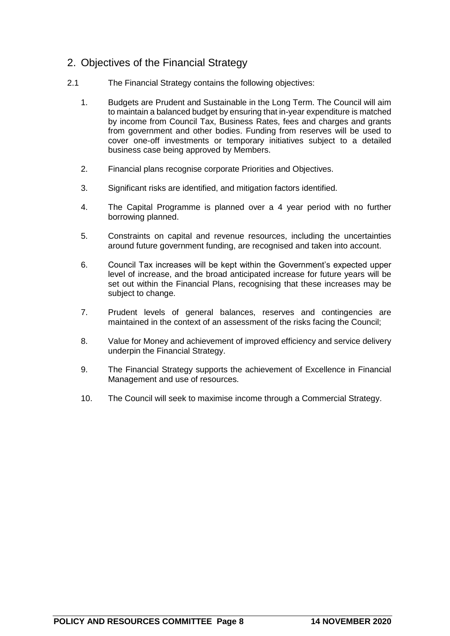# 2. Objectives of the Financial Strategy

- 2.1 The Financial Strategy contains the following objectives:
	- 1. Budgets are Prudent and Sustainable in the Long Term. The Council will aim to maintain a balanced budget by ensuring that in-year expenditure is matched by income from Council Tax, Business Rates, fees and charges and grants from government and other bodies. Funding from reserves will be used to cover one-off investments or temporary initiatives subject to a detailed business case being approved by Members.
	- 2. Financial plans recognise corporate Priorities and Objectives.
	- 3. Significant risks are identified, and mitigation factors identified.
	- 4. The Capital Programme is planned over a 4 year period with no further borrowing planned.
	- 5. Constraints on capital and revenue resources, including the uncertainties around future government funding, are recognised and taken into account.
	- 6. Council Tax increases will be kept within the Government's expected upper level of increase, and the broad anticipated increase for future years will be set out within the Financial Plans, recognising that these increases may be subject to change.
	- 7. Prudent levels of general balances, reserves and contingencies are maintained in the context of an assessment of the risks facing the Council;
	- 8. Value for Money and achievement of improved efficiency and service delivery underpin the Financial Strategy.
	- 9. The Financial Strategy supports the achievement of Excellence in Financial Management and use of resources.
	- 10. The Council will seek to maximise income through a Commercial Strategy.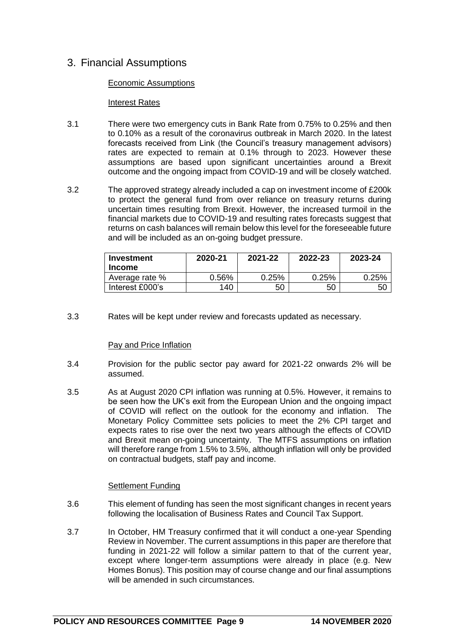# 3. Financial Assumptions

#### Economic Assumptions

#### **Interest Rates**

- 3.1 There were two emergency cuts in Bank Rate from 0.75% to 0.25% and then to 0.10% as a result of the coronavirus outbreak in March 2020. In the latest forecasts received from Link (the Council's treasury management advisors) rates are expected to remain at 0.1% through to 2023. However these assumptions are based upon significant uncertainties around a Brexit outcome and the ongoing impact from COVID-19 and will be closely watched.
- 3.2 The approved strategy already included a cap on investment income of £200k to protect the general fund from over reliance on treasury returns during uncertain times resulting from Brexit. However, the increased turmoil in the financial markets due to COVID-19 and resulting rates forecasts suggest that returns on cash balances will remain below this level for the foreseeable future and will be included as an on-going budget pressure.

| Investment<br><b>Income</b> | 2020-21 | 2021-22 | 2022-23  | 2023-24 |
|-----------------------------|---------|---------|----------|---------|
| Average rate %              | 0.56%   | 0.25%   | $0.25\%$ | 0.25%   |
| Interest £000's             | 140     | 50      | 50       | 50      |

3.3 Rates will be kept under review and forecasts updated as necessary.

#### Pay and Price Inflation

- 3.4 Provision for the public sector pay award for 2021-22 onwards 2% will be assumed.
- 3.5 As at August 2020 CPI inflation was running at 0.5%. However, it remains to be seen how the UK's exit from the European Union and the ongoing impact of COVID will reflect on the outlook for the economy and inflation. The Monetary Policy Committee sets policies to meet the 2% CPI target and expects rates to rise over the next two years although the effects of COVID and Brexit mean on-going uncertainty. The MTFS assumptions on inflation will therefore range from 1.5% to 3.5%, although inflation will only be provided on contractual budgets, staff pay and income.

#### Settlement Funding

- 3.6 This element of funding has seen the most significant changes in recent years following the localisation of Business Rates and Council Tax Support.
- 3.7 In October, HM Treasury confirmed that it will conduct a one-year Spending Review in November. The current assumptions in this paper are therefore that funding in 2021-22 will follow a similar pattern to that of the current year, except where longer-term assumptions were already in place (e.g. New Homes Bonus). This position may of course change and our final assumptions will be amended in such circumstances.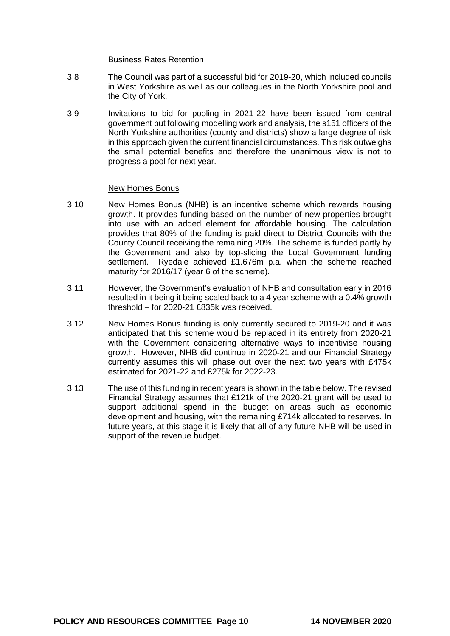#### Business Rates Retention

- 3.8 The Council was part of a successful bid for 2019-20, which included councils in West Yorkshire as well as our colleagues in the North Yorkshire pool and the City of York.
- 3.9 Invitations to bid for pooling in 2021-22 have been issued from central government but following modelling work and analysis, the s151 officers of the North Yorkshire authorities (county and districts) show a large degree of risk in this approach given the current financial circumstances. This risk outweighs the small potential benefits and therefore the unanimous view is not to progress a pool for next year.

#### New Homes Bonus

- 3.10 New Homes Bonus (NHB) is an incentive scheme which rewards housing growth. It provides funding based on the number of new properties brought into use with an added element for affordable housing. The calculation provides that 80% of the funding is paid direct to District Councils with the County Council receiving the remaining 20%. The scheme is funded partly by the Government and also by top-slicing the Local Government funding settlement. Ryedale achieved £1.676m p.a. when the scheme reached maturity for 2016/17 (year 6 of the scheme).
- 3.11 However, the Government's evaluation of NHB and consultation early in 2016 resulted in it being it being scaled back to a 4 year scheme with a 0.4% growth threshold – for 2020-21 £835k was received.
- 3.12 New Homes Bonus funding is only currently secured to 2019-20 and it was anticipated that this scheme would be replaced in its entirety from 2020-21 with the Government considering alternative ways to incentivise housing growth. However, NHB did continue in 2020-21 and our Financial Strategy currently assumes this will phase out over the next two years with £475k estimated for 2021-22 and £275k for 2022-23.
- 3.13 The use of this funding in recent years is shown in the table below. The revised Financial Strategy assumes that £121k of the 2020-21 grant will be used to support additional spend in the budget on areas such as economic development and housing, with the remaining £714k allocated to reserves. In future years, at this stage it is likely that all of any future NHB will be used in support of the revenue budget.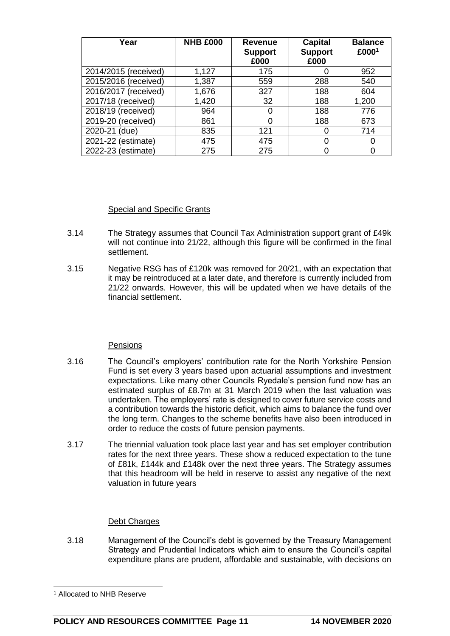| Year                 | <b>NHB £000</b> | <b>Revenue</b><br><b>Support</b><br>£000 | <b>Capital</b><br><b>Support</b><br>£000 | <b>Balance</b><br>£0001 |
|----------------------|-----------------|------------------------------------------|------------------------------------------|-------------------------|
| 2014/2015 (received) | 1,127           | 175                                      |                                          | 952                     |
| 2015/2016 (received) | 1,387           | 559                                      | 288                                      | 540                     |
| 2016/2017 (received) | 1,676           | 327                                      | 188                                      | 604                     |
| 2017/18 (received)   | 1,420           | 32                                       | 188                                      | 1,200                   |
| 2018/19 (received)   | 964             |                                          | 188                                      | 776                     |
| 2019-20 (received)   | 861             |                                          | 188                                      | 673                     |
| 2020-21 (due)        | 835             | 121                                      |                                          | 714                     |
| 2021-22 (estimate)   | 475             | 475                                      |                                          | 0                       |
| 2022-23 (estimate)   | 275             | 275                                      |                                          | 0                       |

#### Special and Specific Grants

- 3.14 The Strategy assumes that Council Tax Administration support grant of £49k will not continue into 21/22, although this figure will be confirmed in the final settlement.
- 3.15 Negative RSG has of £120k was removed for 20/21, with an expectation that it may be reintroduced at a later date, and therefore is currently included from 21/22 onwards. However, this will be updated when we have details of the financial settlement.

#### **Pensions**

- 3.16 The Council's employers' contribution rate for the North Yorkshire Pension Fund is set every 3 years based upon actuarial assumptions and investment expectations. Like many other Councils Ryedale's pension fund now has an estimated surplus of £8.7m at 31 March 2019 when the last valuation was undertaken. The employers' rate is designed to cover future service costs and a contribution towards the historic deficit, which aims to balance the fund over the long term. Changes to the scheme benefits have also been introduced in order to reduce the costs of future pension payments.
- 3.17 The triennial valuation took place last year and has set employer contribution rates for the next three years. These show a reduced expectation to the tune of £81k, £144k and £148k over the next three years. The Strategy assumes that this headroom will be held in reserve to assist any negative of the next valuation in future years

#### Debt Charges

3.18 Management of the Council's debt is governed by the Treasury Management Strategy and Prudential Indicators which aim to ensure the Council's capital expenditure plans are prudent, affordable and sustainable, with decisions on

 $\overline{a}$ 

<sup>1</sup> Allocated to NHB Reserve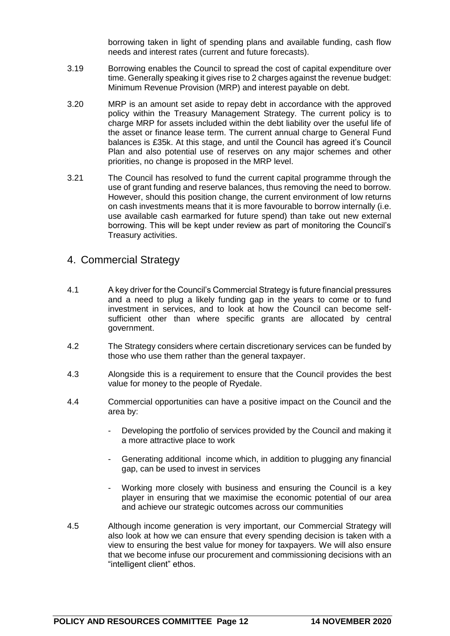borrowing taken in light of spending plans and available funding, cash flow needs and interest rates (current and future forecasts).

- 3.19 Borrowing enables the Council to spread the cost of capital expenditure over time. Generally speaking it gives rise to 2 charges against the revenue budget: Minimum Revenue Provision (MRP) and interest payable on debt.
- 3.20 MRP is an amount set aside to repay debt in accordance with the approved policy within the Treasury Management Strategy. The current policy is to charge MRP for assets included within the debt liability over the useful life of the asset or finance lease term. The current annual charge to General Fund balances is £35k. At this stage, and until the Council has agreed it's Council Plan and also potential use of reserves on any major schemes and other priorities, no change is proposed in the MRP level.
- 3.21 The Council has resolved to fund the current capital programme through the use of grant funding and reserve balances, thus removing the need to borrow. However, should this position change, the current environment of low returns on cash investments means that it is more favourable to borrow internally (i.e. use available cash earmarked for future spend) than take out new external borrowing. This will be kept under review as part of monitoring the Council's Treasury activities.

#### 4. Commercial Strategy

- 4.1 A key driver for the Council's Commercial Strategy is future financial pressures and a need to plug a likely funding gap in the years to come or to fund investment in services, and to look at how the Council can become selfsufficient other than where specific grants are allocated by central government.
- 4.2 The Strategy considers where certain discretionary services can be funded by those who use them rather than the general taxpayer.
- 4.3 Alongside this is a requirement to ensure that the Council provides the best value for money to the people of Ryedale.
- 4.4 Commercial opportunities can have a positive impact on the Council and the area by:
	- Developing the portfolio of services provided by the Council and making it a more attractive place to work
	- Generating additional income which, in addition to plugging any financial gap, can be used to invest in services
	- Working more closely with business and ensuring the Council is a key player in ensuring that we maximise the economic potential of our area and achieve our strategic outcomes across our communities
- 4.5 Although income generation is very important, our Commercial Strategy will also look at how we can ensure that every spending decision is taken with a view to ensuring the best value for money for taxpayers. We will also ensure that we become infuse our procurement and commissioning decisions with an "intelligent client" ethos.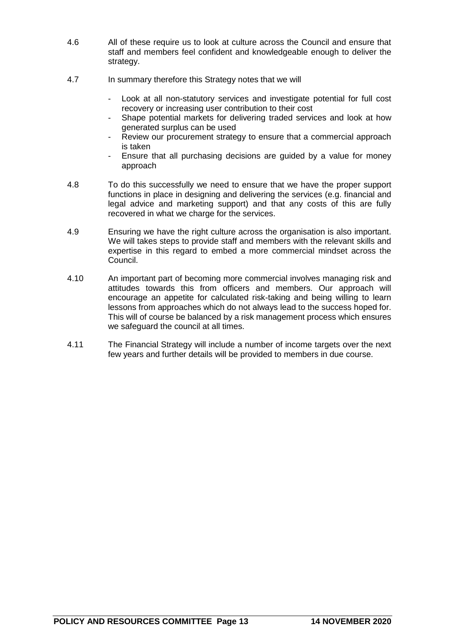- 4.6 All of these require us to look at culture across the Council and ensure that staff and members feel confident and knowledgeable enough to deliver the strategy.
- 4.7 In summary therefore this Strategy notes that we will
	- Look at all non-statutory services and investigate potential for full cost recovery or increasing user contribution to their cost
	- Shape potential markets for delivering traded services and look at how generated surplus can be used
	- Review our procurement strategy to ensure that a commercial approach is taken
	- Ensure that all purchasing decisions are guided by a value for money approach
- 4.8 To do this successfully we need to ensure that we have the proper support functions in place in designing and delivering the services (e.g. financial and legal advice and marketing support) and that any costs of this are fully recovered in what we charge for the services.
- 4.9 Ensuring we have the right culture across the organisation is also important. We will takes steps to provide staff and members with the relevant skills and expertise in this regard to embed a more commercial mindset across the Council.
- 4.10 An important part of becoming more commercial involves managing risk and attitudes towards this from officers and members. Our approach will encourage an appetite for calculated risk-taking and being willing to learn lessons from approaches which do not always lead to the success hoped for. This will of course be balanced by a risk management process which ensures we safeguard the council at all times.
- 4.11 The Financial Strategy will include a number of income targets over the next few years and further details will be provided to members in due course.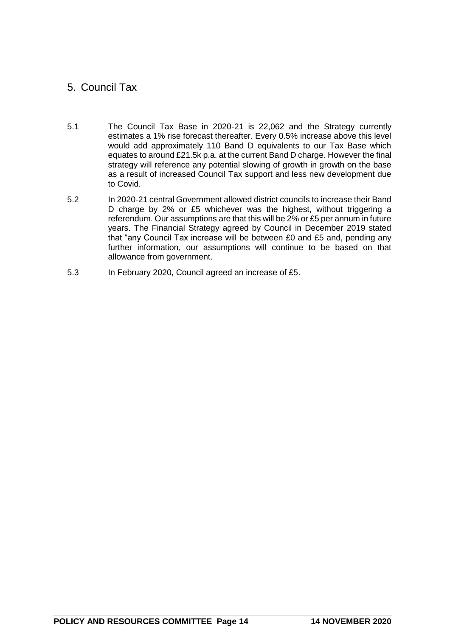# 5. Council Tax

- 5.1 The Council Tax Base in 2020-21 is 22,062 and the Strategy currently estimates a 1% rise forecast thereafter. Every 0.5% increase above this level would add approximately 110 Band D equivalents to our Tax Base which equates to around £21.5k p.a. at the current Band D charge. However the final strategy will reference any potential slowing of growth in growth on the base as a result of increased Council Tax support and less new development due to Covid.
- 5.2 In 2020-21 central Government allowed district councils to increase their Band D charge by 2% or £5 whichever was the highest, without triggering a referendum. Our assumptions are that this will be 2% or £5 per annum in future years. The Financial Strategy agreed by Council in December 2019 stated that "any Council Tax increase will be between £0 and £5 and, pending any further information, our assumptions will continue to be based on that allowance from government.
- 5.3 In February 2020, Council agreed an increase of £5.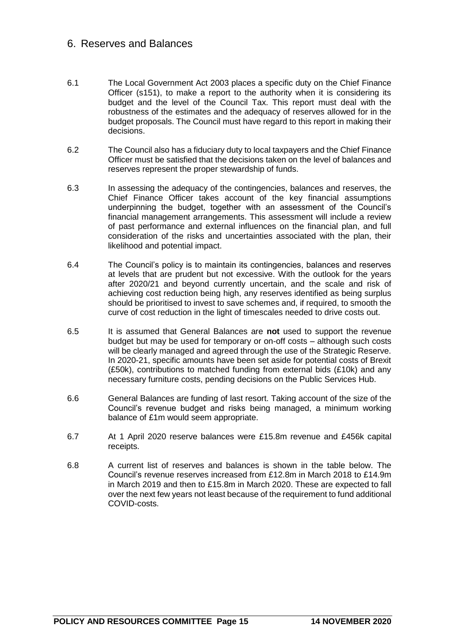# 6. Reserves and Balances

- 6.1 The Local Government Act 2003 places a specific duty on the Chief Finance Officer (s151), to make a report to the authority when it is considering its budget and the level of the Council Tax. This report must deal with the robustness of the estimates and the adequacy of reserves allowed for in the budget proposals. The Council must have regard to this report in making their decisions.
- 6.2 The Council also has a fiduciary duty to local taxpayers and the Chief Finance Officer must be satisfied that the decisions taken on the level of balances and reserves represent the proper stewardship of funds.
- 6.3 In assessing the adequacy of the contingencies, balances and reserves, the Chief Finance Officer takes account of the key financial assumptions underpinning the budget, together with an assessment of the Council's financial management arrangements. This assessment will include a review of past performance and external influences on the financial plan, and full consideration of the risks and uncertainties associated with the plan, their likelihood and potential impact.
- 6.4 The Council's policy is to maintain its contingencies, balances and reserves at levels that are prudent but not excessive. With the outlook for the years after 2020/21 and beyond currently uncertain, and the scale and risk of achieving cost reduction being high, any reserves identified as being surplus should be prioritised to invest to save schemes and, if required, to smooth the curve of cost reduction in the light of timescales needed to drive costs out.
- 6.5 It is assumed that General Balances are **not** used to support the revenue budget but may be used for temporary or on-off costs – although such costs will be clearly managed and agreed through the use of the Strategic Reserve. In 2020-21, specific amounts have been set aside for potential costs of Brexit (£50k), contributions to matched funding from external bids (£10k) and any necessary furniture costs, pending decisions on the Public Services Hub.
- 6.6 General Balances are funding of last resort. Taking account of the size of the Council's revenue budget and risks being managed, a minimum working balance of £1m would seem appropriate.
- 6.7 At 1 April 2020 reserve balances were £15.8m revenue and £456k capital receipts.
- 6.8 A current list of reserves and balances is shown in the table below. The Council's revenue reserves increased from £12.8m in March 2018 to £14.9m in March 2019 and then to £15.8m in March 2020. These are expected to fall over the next few years not least because of the requirement to fund additional COVID-costs.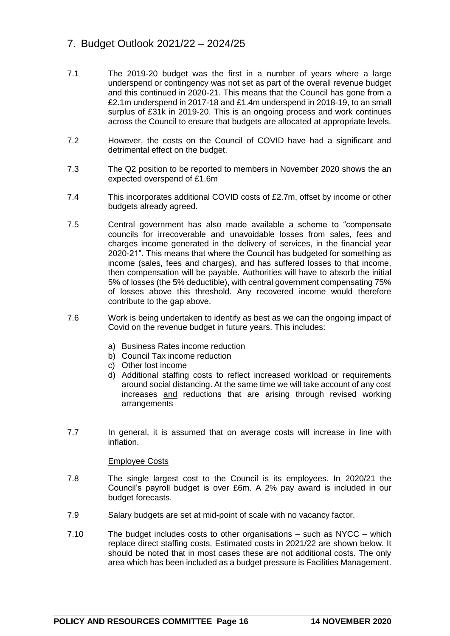# 7. Budget Outlook 2021/22 – 2024/25

- 7.1 The 2019-20 budget was the first in a number of years where a large underspend or contingency was not set as part of the overall revenue budget and this continued in 2020-21. This means that the Council has gone from a £2.1m underspend in 2017-18 and £1.4m underspend in 2018-19, to an small surplus of £31k in 2019-20. This is an ongoing process and work continues across the Council to ensure that budgets are allocated at appropriate levels.
- 7.2 However, the costs on the Council of COVID have had a significant and detrimental effect on the budget.
- 7.3 The Q2 position to be reported to members in November 2020 shows the an expected overspend of £1.6m
- 7.4 This incorporates additional COVID costs of £2.7m, offset by income or other budgets already agreed.
- 7.5 Central government has also made available a scheme to "compensate councils for irrecoverable and unavoidable losses from sales, fees and charges income generated in the delivery of services, in the financial year 2020-21". This means that where the Council has budgeted for something as income (sales, fees and charges), and has suffered losses to that income, then compensation will be payable. Authorities will have to absorb the initial 5% of losses (the 5% deductible), with central government compensating 75% of losses above this threshold. Any recovered income would therefore contribute to the gap above.
- 7.6 Work is being undertaken to identify as best as we can the ongoing impact of Covid on the revenue budget in future years. This includes:
	- a) Business Rates income reduction
	- b) Council Tax income reduction
	- c) Other lost income
	- d) Additional staffing costs to reflect increased workload or requirements around social distancing. At the same time we will take account of any cost increases and reductions that are arising through revised working arrangements
- 7.7 In general, it is assumed that on average costs will increase in line with inflation.

#### Employee Costs

- 7.8 The single largest cost to the Council is its employees. In 2020/21 the Council's payroll budget is over £6m. A 2% pay award is included in our budget forecasts.
- 7.9 Salary budgets are set at mid-point of scale with no vacancy factor.
- 7.10 The budget includes costs to other organisations such as NYCC which replace direct staffing costs. Estimated costs in 2021/22 are shown below. It should be noted that in most cases these are not additional costs. The only area which has been included as a budget pressure is Facilities Management.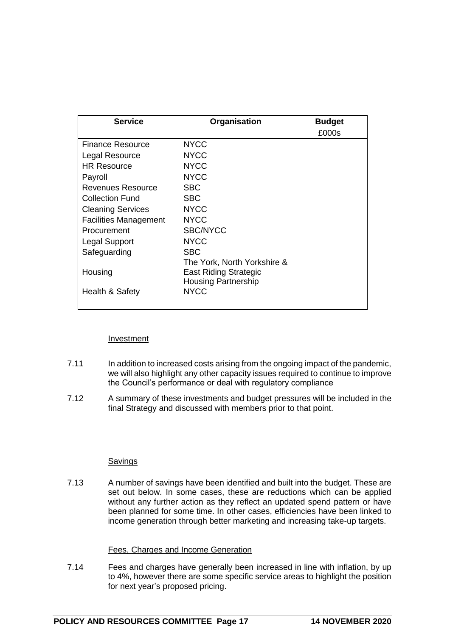| <b>Service</b>               | Organisation                | <b>Budget</b> |
|------------------------------|-----------------------------|---------------|
|                              |                             | £000s         |
| <b>Finance Resource</b>      | <b>NYCC</b>                 |               |
| Legal Resource               | <b>NYCC</b>                 |               |
| <b>HR Resource</b>           | <b>NYCC</b>                 |               |
| Payroll                      | <b>NYCC</b>                 |               |
| Revenues Resource            | <b>SBC</b>                  |               |
| <b>Collection Fund</b>       | <b>SBC</b>                  |               |
| <b>Cleaning Services</b>     | <b>NYCC</b>                 |               |
| <b>Facilities Management</b> | <b>NYCC</b>                 |               |
| Procurement                  | <b>SBC/NYCC</b>             |               |
| <b>Legal Support</b>         | <b>NYCC</b>                 |               |
| Safeguarding                 | <b>SBC</b>                  |               |
|                              | The York, North Yorkshire & |               |
| Housing                      | East Riding Strategic       |               |
|                              | <b>Housing Partnership</b>  |               |
| Health & Safety              | <b>NYCC</b>                 |               |
|                              |                             |               |

#### Investment

- 7.11 In addition to increased costs arising from the ongoing impact of the pandemic, we will also highlight any other capacity issues required to continue to improve the Council's performance or deal with regulatory compliance
- 7.12 A summary of these investments and budget pressures will be included in the final Strategy and discussed with members prior to that point.

#### Savings

7.13 A number of savings have been identified and built into the budget. These are set out below. In some cases, these are reductions which can be applied without any further action as they reflect an updated spend pattern or have been planned for some time. In other cases, efficiencies have been linked to income generation through better marketing and increasing take-up targets.

#### Fees, Charges and Income Generation

7.14 Fees and charges have generally been increased in line with inflation, by up to 4%, however there are some specific service areas to highlight the position for next year's proposed pricing.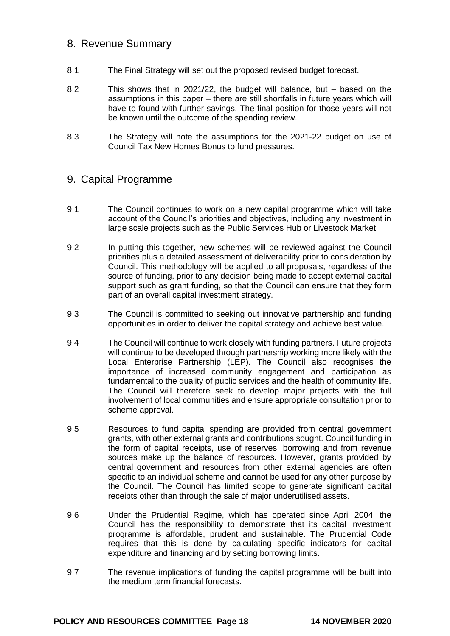# 8. Revenue Summary

- 8.1 The Final Strategy will set out the proposed revised budget forecast.
- 8.2 This shows that in 2021/22, the budget will balance, but based on the assumptions in this paper – there are still shortfalls in future years which will have to found with further savings. The final position for those years will not be known until the outcome of the spending review.
- 8.3 The Strategy will note the assumptions for the 2021-22 budget on use of Council Tax New Homes Bonus to fund pressures.

# 9. Capital Programme

- 9.1 The Council continues to work on a new capital programme which will take account of the Council's priorities and objectives, including any investment in large scale projects such as the Public Services Hub or Livestock Market.
- 9.2 In putting this together, new schemes will be reviewed against the Council priorities plus a detailed assessment of deliverability prior to consideration by Council. This methodology will be applied to all proposals, regardless of the source of funding, prior to any decision being made to accept external capital support such as grant funding, so that the Council can ensure that they form part of an overall capital investment strategy.
- 9.3 The Council is committed to seeking out innovative partnership and funding opportunities in order to deliver the capital strategy and achieve best value.
- 9.4 The Council will continue to work closely with funding partners. Future projects will continue to be developed through partnership working more likely with the Local Enterprise Partnership (LEP). The Council also recognises the importance of increased community engagement and participation as fundamental to the quality of public services and the health of community life. The Council will therefore seek to develop major projects with the full involvement of local communities and ensure appropriate consultation prior to scheme approval.
- 9.5 Resources to fund capital spending are provided from central government grants, with other external grants and contributions sought. Council funding in the form of capital receipts, use of reserves, borrowing and from revenue sources make up the balance of resources. However, grants provided by central government and resources from other external agencies are often specific to an individual scheme and cannot be used for any other purpose by the Council. The Council has limited scope to generate significant capital receipts other than through the sale of major underutilised assets.
- 9.6 Under the Prudential Regime, which has operated since April 2004, the Council has the responsibility to demonstrate that its capital investment programme is affordable, prudent and sustainable. The Prudential Code requires that this is done by calculating specific indicators for capital expenditure and financing and by setting borrowing limits.
- 9.7 The revenue implications of funding the capital programme will be built into the medium term financial forecasts.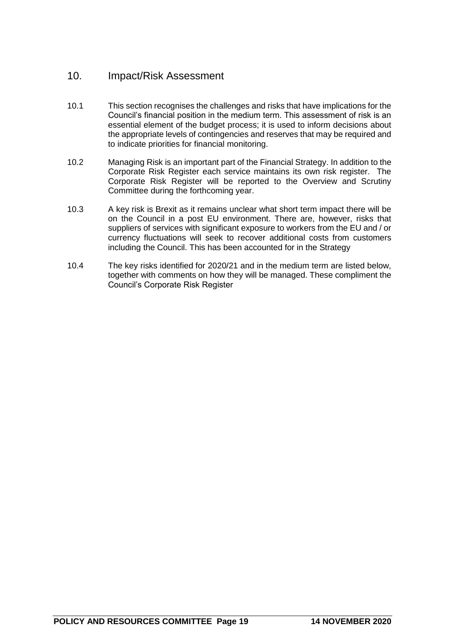# 10. Impact/Risk Assessment

- 10.1 This section recognises the challenges and risks that have implications for the Council's financial position in the medium term. This assessment of risk is an essential element of the budget process; it is used to inform decisions about the appropriate levels of contingencies and reserves that may be required and to indicate priorities for financial monitoring.
- 10.2 Managing Risk is an important part of the Financial Strategy. In addition to the Corporate Risk Register each service maintains its own risk register. The Corporate Risk Register will be reported to the Overview and Scrutiny Committee during the forthcoming year.
- 10.3 A key risk is Brexit as it remains unclear what short term impact there will be on the Council in a post EU environment. There are, however, risks that suppliers of services with significant exposure to workers from the EU and / or currency fluctuations will seek to recover additional costs from customers including the Council. This has been accounted for in the Strategy
- 10.4 The key risks identified for 2020/21 and in the medium term are listed below, together with comments on how they will be managed. These compliment the Council's Corporate Risk Register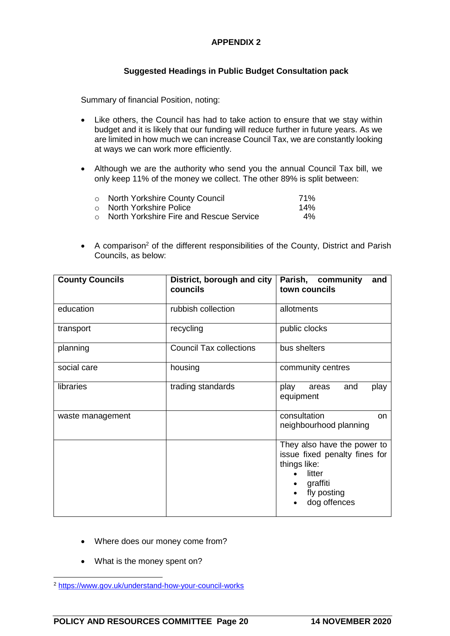#### **APPENDIX 2**

#### **Suggested Headings in Public Budget Consultation pack**

Summary of financial Position, noting:

- Like others, the Council has had to take action to ensure that we stay within budget and it is likely that our funding will reduce further in future years. As we are limited in how much we can increase Council Tax, we are constantly looking at ways we can work more efficiently.
- Although we are the authority who send you the annual Council Tax bill, we only keep 11% of the money we collect. The other 89% is split between:

| o North Yorkshire County Council          | 71%   |
|-------------------------------------------|-------|
| ○ North Yorkshire Police _                | 14%   |
| ○ North Yorkshire Fire and Rescue Service | $4\%$ |

• A comparison<sup>2</sup> of the different responsibilities of the County, District and Parish Councils, as below:

| <b>County Councils</b> | District, borough and city<br>councils | Parish, community<br>and<br>town councils                                                                                         |  |
|------------------------|----------------------------------------|-----------------------------------------------------------------------------------------------------------------------------------|--|
| education              | rubbish collection                     | allotments                                                                                                                        |  |
| transport              | recycling                              | public clocks                                                                                                                     |  |
| planning               | <b>Council Tax collections</b>         | bus shelters                                                                                                                      |  |
| social care            | housing                                | community centres                                                                                                                 |  |
| libraries              | trading standards                      | play<br>and<br>play<br>areas<br>equipment                                                                                         |  |
| waste management       |                                        | consultation<br>on<br>neighbourhood planning                                                                                      |  |
|                        |                                        | They also have the power to<br>issue fixed penalty fines for<br>things like:<br>litter<br>graffiti<br>fly posting<br>dog offences |  |

- Where does our money come from?
- What is the money spent on?

 <sup>2</sup> https://www.gov.uk/understand-how-your-council-works